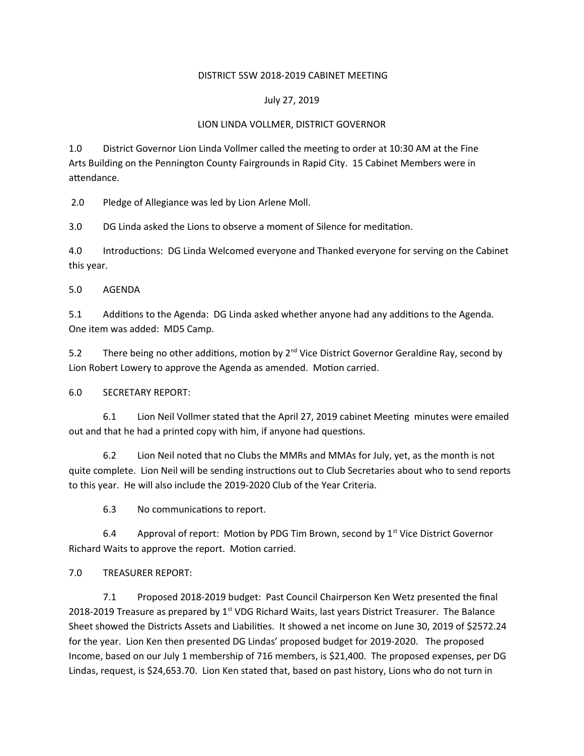### DISTRICT 5SW 2018-2019 CABINET MEETING

## July 27, 2019

## LION LINDA VOLLMER, DISTRICT GOVERNOR

1.0 District Governor Lion Linda Vollmer called the meeting to order at 10:30 AM at the Fine Arts Building on the Pennington County Fairgrounds in Rapid City. 15 Cabinet Members were in attendance.

2.0 Pledge of Allegiance was led by Lion Arlene Moll.

3.0 DG Linda asked the Lions to observe a moment of Silence for meditation.

4.0 Introductions: DG Linda Welcomed everyone and Thanked everyone for serving on the Cabinet this year.

5.0 AGENDA

5.1 Additions to the Agenda: DG Linda asked whether anyone had any additions to the Agenda. One item was added: MD5 Camp.

5.2 There being no other additions, motion by  $2^{nd}$  Vice District Governor Geraldine Ray, second by Lion Robert Lowery to approve the Agenda as amended. Motion carried.

6.0 SECRETARY REPORT:

6.1 Lion Neil Vollmer stated that the April 27, 2019 cabinet Meeting minutes were emailed out and that he had a printed copy with him, if anyone had questions.

6.2 Lion Neil noted that no Clubs the MMRs and MMAs for July, yet, as the month is not quite complete. Lion Neil will be sending instructions out to Club Secretaries about who to send reports to this year. He will also include the 2019-2020 Club of the Year Criteria.

6.3 No communications to report.

6.4 Approval of report: Motion by PDG Tim Brown, second by  $1<sup>st</sup>$  Vice District Governor Richard Waits to approve the report. Motion carried.

# 7.0 TREASURER REPORT:

7.1 Proposed 2018-2019 budget: Past Council Chairperson Ken Wetz presented the final 2018-2019 Treasure as prepared by  $1<sup>st</sup>$  VDG Richard Waits, last years District Treasurer. The Balance Sheet showed the Districts Assets and Liabilities. It showed a net income on June 30, 2019 of \$2572.24 for the year. Lion Ken then presented DG Lindas' proposed budget for 2019-2020. The proposed Income, based on our July 1 membership of 716 members, is \$21,400. The proposed expenses, per DG Lindas, request, is \$24,653.70. Lion Ken stated that, based on past history, Lions who do not turn in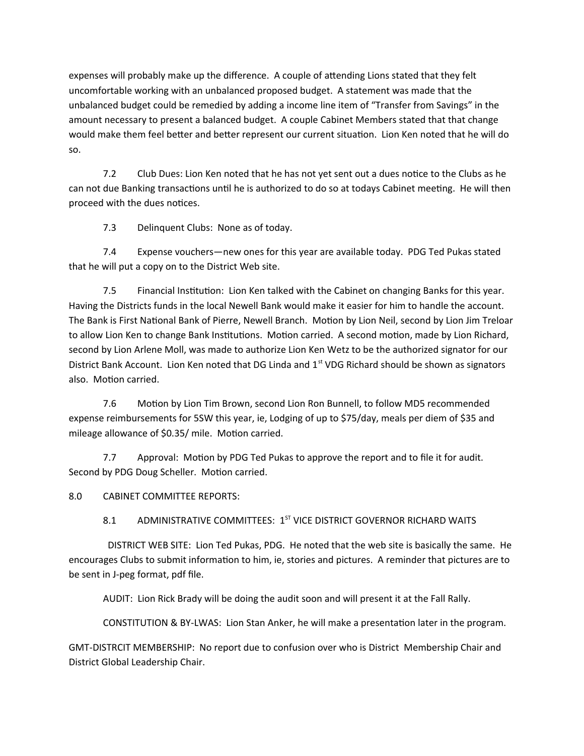expenses will probably make up the difference. A couple of attending Lions stated that they felt uncomfortable working with an unbalanced proposed budget. A statement was made that the unbalanced budget could be remedied by adding a income line item of "Transfer from Savings" in the amount necessary to present a balanced budget. A couple Cabinet Members stated that that change would make them feel better and better represent our current situation. Lion Ken noted that he will do so.

7.2 Club Dues: Lion Ken noted that he has not yet sent out a dues notice to the Clubs as he can not due Banking transactions until he is authorized to do so at todays Cabinet meeting. He will then proceed with the dues notices.

7.3 Delinquent Clubs: None as of today.

7.4 Expense vouchers—new ones for this year are available today. PDG Ted Pukas stated that he will put a copy on to the District Web site.

7.5 Financial Institution: Lion Ken talked with the Cabinet on changing Banks for this year. Having the Districts funds in the local Newell Bank would make it easier for him to handle the account. The Bank is First National Bank of Pierre, Newell Branch. Motion by Lion Neil, second by Lion Jim Treloar to allow Lion Ken to change Bank Institutions. Motion carried. A second motion, made by Lion Richard, second by Lion Arlene Moll, was made to authorize Lion Ken Wetz to be the authorized signator for our District Bank Account. Lion Ken noted that DG Linda and  $1<sup>st</sup>$  VDG Richard should be shown as signators also. Motion carried.

7.6 Motion by Lion Tim Brown, second Lion Ron Bunnell, to follow MD5 recommended expense reimbursements for 5SW this year, ie, Lodging of up to \$75/day, meals per diem of \$35 and mileage allowance of \$0.35/ mile. Motion carried.

7.7 Approval: Motion by PDG Ted Pukas to approve the report and to file it for audit. Second by PDG Doug Scheller. Motion carried.

8.0 CABINET COMMITTEE REPORTS:

# 8.1 ADMINISTRATIVE COMMITTEES: 1<sup>ST</sup> VICE DISTRICT GOVERNOR RICHARD WAITS

 DISTRICT WEB SITE: Lion Ted Pukas, PDG. He noted that the web site is basically the same. He encourages Clubs to submit information to him, ie, stories and pictures. A reminder that pictures are to be sent in J-peg format, pdf file.

AUDIT: Lion Rick Brady will be doing the audit soon and will present it at the Fall Rally.

CONSTITUTION & BY-LWAS: Lion Stan Anker, he will make a presentation later in the program.

GMT-DISTRCIT MEMBERSHIP: No report due to confusion over who is District Membership Chair and District Global Leadership Chair.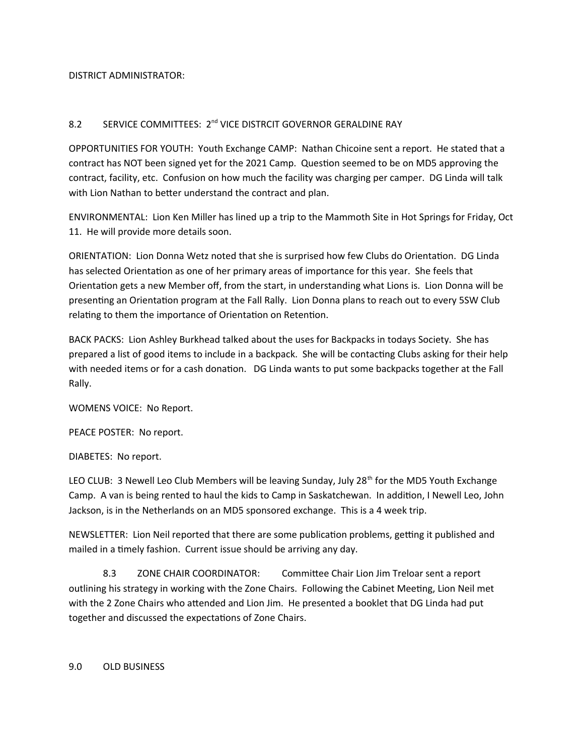DISTRICT ADMINISTRATOR:

# 8.2 SERVICE COMMITTEES: 2<sup>nd</sup> VICE DISTRCIT GOVERNOR GERALDINE RAY

OPPORTUNITIES FOR YOUTH: Youth Exchange CAMP: Nathan Chicoine sent a report. He stated that a contract has NOT been signed yet for the 2021 Camp. Question seemed to be on MD5 approving the contract, facility, etc. Confusion on how much the facility was charging per camper. DG Linda will talk with Lion Nathan to better understand the contract and plan.

ENVIRONMENTAL: Lion Ken Miller has lined up a trip to the Mammoth Site in Hot Springs for Friday, Oct 11. He will provide more details soon.

ORIENTATION: Lion Donna Wetz noted that she is surprised how few Clubs do Orientation. DG Linda has selected Orientation as one of her primary areas of importance for this year. She feels that Orientation gets a new Member off, from the start, in understanding what Lions is. Lion Donna will be presenting an Orientation program at the Fall Rally. Lion Donna plans to reach out to every 5SW Club relating to them the importance of Orientation on Retention.

BACK PACKS: Lion Ashley Burkhead talked about the uses for Backpacks in todays Society. She has prepared a list of good items to include in a backpack. She will be contacting Clubs asking for their help with needed items or for a cash donation. DG Linda wants to put some backpacks together at the Fall Rally.

WOMENS VOICE: No Report.

PEACE POSTER: No report.

DIABETES: No report.

LEO CLUB: 3 Newell Leo Club Members will be leaving Sunday, July 28<sup>th</sup> for the MD5 Youth Exchange Camp. A van is being rented to haul the kids to Camp in Saskatchewan. In addition, I Newell Leo, John Jackson, is in the Netherlands on an MD5 sponsored exchange. This is a 4 week trip.

NEWSLETTER: Lion Neil reported that there are some publication problems, getting it published and mailed in a timely fashion. Current issue should be arriving any day.

8.3 ZONE CHAIR COORDINATOR: Committee Chair Lion Jim Treloar sent a report outlining his strategy in working with the Zone Chairs. Following the Cabinet Meeting, Lion Neil met with the 2 Zone Chairs who attended and Lion Jim. He presented a booklet that DG Linda had put together and discussed the expectations of Zone Chairs.

9.0 OLD BUSINESS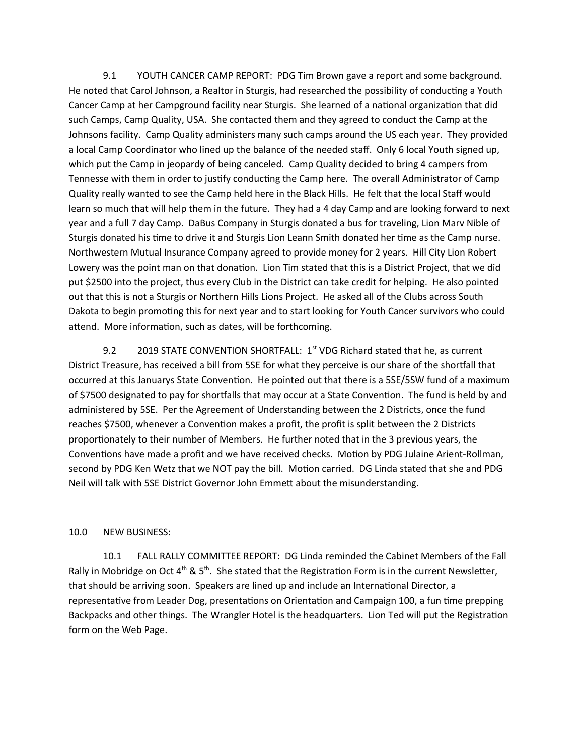9.1 YOUTH CANCER CAMP REPORT: PDG Tim Brown gave a report and some background. He noted that Carol Johnson, a Realtor in Sturgis, had researched the possibility of conducting a Youth Cancer Camp at her Campground facility near Sturgis. She learned of a national organization that did such Camps, Camp Quality, USA. She contacted them and they agreed to conduct the Camp at the Johnsons facility. Camp Quality administers many such camps around the US each year. They provided a local Camp Coordinator who lined up the balance of the needed staff. Only 6 local Youth signed up, which put the Camp in jeopardy of being canceled. Camp Quality decided to bring 4 campers from Tennesse with them in order to justify conducting the Camp here. The overall Administrator of Camp Quality really wanted to see the Camp held here in the Black Hills. He felt that the local Staff would learn so much that will help them in the future. They had a 4 day Camp and are looking forward to next year and a full 7 day Camp. DaBus Company in Sturgis donated a bus for traveling, Lion Marv Nible of Sturgis donated his time to drive it and Sturgis Lion Leann Smith donated her time as the Camp nurse. Northwestern Mutual Insurance Company agreed to provide money for 2 years. Hill City Lion Robert Lowery was the point man on that donation. Lion Tim stated that this is a District Project, that we did put \$2500 into the project, thus every Club in the District can take credit for helping. He also pointed out that this is not a Sturgis or Northern Hills Lions Project. He asked all of the Clubs across South Dakota to begin promoting this for next year and to start looking for Youth Cancer survivors who could attend. More information, such as dates, will be forthcoming.

9.2 2019 STATE CONVENTION SHORTFALL: 1<sup>st</sup> VDG Richard stated that he, as current District Treasure, has received a bill from 5SE for what they perceive is our share of the shortfall that occurred at this Januarys State Convention. He pointed out that there is a 5SE/5SW fund of a maximum of \$7500 designated to pay for shortfalls that may occur at a State Convention. The fund is held by and administered by 5SE. Per the Agreement of Understanding between the 2 Districts, once the fund reaches \$7500, whenever a Convention makes a profit, the profit is split between the 2 Districts proportionately to their number of Members. He further noted that in the 3 previous years, the Conventions have made a profit and we have received checks. Motion by PDG Julaine Arient-Rollman, second by PDG Ken Wetz that we NOT pay the bill. Motion carried. DG Linda stated that she and PDG Neil will talk with 5SE District Governor John Emmett about the misunderstanding.

#### 10.0 NEW BUSINESS:

10.1 FALL RALLY COMMITTEE REPORT: DG Linda reminded the Cabinet Members of the Fall Rally in Mobridge on Oct  $4<sup>th</sup>$  & 5<sup>th</sup>. She stated that the Registration Form is in the current Newsletter, that should be arriving soon. Speakers are lined up and include an International Director, a representative from Leader Dog, presentations on Orientation and Campaign 100, a fun time prepping Backpacks and other things. The Wrangler Hotel is the headquarters. Lion Ted will put the Registration form on the Web Page.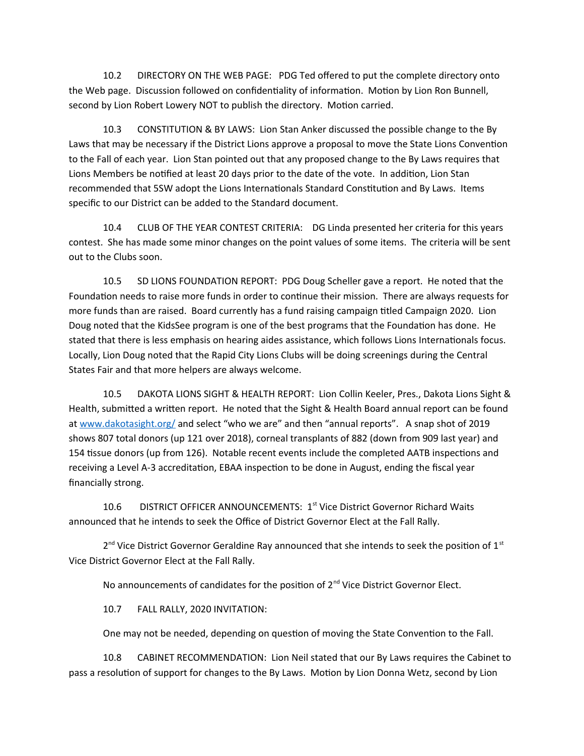10.2 DIRECTORY ON THE WEB PAGE: PDG Ted offered to put the complete directory onto the Web page. Discussion followed on confidentiality of information. Motion by Lion Ron Bunnell, second by Lion Robert Lowery NOT to publish the directory. Motion carried.

10.3 CONSTITUTION & BY LAWS: Lion Stan Anker discussed the possible change to the By Laws that may be necessary if the District Lions approve a proposal to move the State Lions Convention to the Fall of each year. Lion Stan pointed out that any proposed change to the By Laws requires that Lions Members be notified at least 20 days prior to the date of the vote. In addition, Lion Stan recommended that 5SW adopt the Lions Internationals Standard Constitution and By Laws. Items specific to our District can be added to the Standard document.

10.4 CLUB OF THE YEAR CONTEST CRITERIA: DG Linda presented her criteria for this years contest. She has made some minor changes on the point values of some items. The criteria will be sent out to the Clubs soon.

10.5 SD LIONS FOUNDATION REPORT: PDG Doug Scheller gave a report. He noted that the Foundation needs to raise more funds in order to continue their mission. There are always requests for more funds than are raised. Board currently has a fund raising campaign titled Campaign 2020. Lion Doug noted that the KidsSee program is one of the best programs that the Foundation has done. He stated that there is less emphasis on hearing aides assistance, which follows Lions Internationals focus. Locally, Lion Doug noted that the Rapid City Lions Clubs will be doing screenings during the Central States Fair and that more helpers are always welcome.

10.5 DAKOTA LIONS SIGHT & HEALTH REPORT: Lion Collin Keeler, Pres., Dakota Lions Sight & Health, submitted a written report. He noted that the Sight & Health Board annual report can be found at [www.dakotasight.org/](http://www.dakotasight.org/) and select "who we are" and then "annual reports". A snap shot of 2019 shows 807 total donors (up 121 over 2018), corneal transplants of 882 (down from 909 last year) and 154 tissue donors (up from 126). Notable recent events include the completed AATB inspections and receiving a Level A-3 accreditation, EBAA inspection to be done in August, ending the fiscal year financially strong.

10.6 DISTRICT OFFICER ANNOUNCEMENTS: 1<sup>st</sup> Vice District Governor Richard Waits announced that he intends to seek the Office of District Governor Elect at the Fall Rally.

 $2^{nd}$  Vice District Governor Geraldine Ray announced that she intends to seek the position of 1<sup>st</sup> Vice District Governor Elect at the Fall Rally.

No announcements of candidates for the position of  $2<sup>nd</sup>$  Vice District Governor Elect.

10.7 FALL RALLY, 2020 INVITATION:

One may not be needed, depending on question of moving the State Convention to the Fall.

10.8 CABINET RECOMMENDATION: Lion Neil stated that our By Laws requires the Cabinet to pass a resolution of support for changes to the By Laws. Motion by Lion Donna Wetz, second by Lion